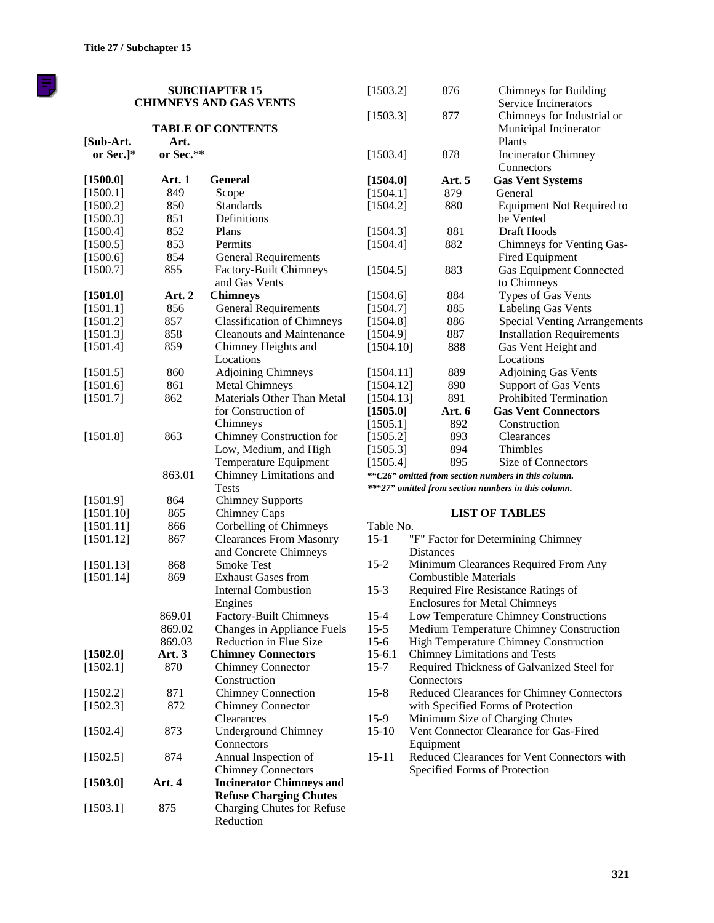F)

|           |               | <b>SUBCHAPTER 15</b><br><b>CHIMNEYS AND GAS VENTS</b> | [1503.2]  | 876                          | <b>Chimneys for Building</b><br>Service Incinerators          |
|-----------|---------------|-------------------------------------------------------|-----------|------------------------------|---------------------------------------------------------------|
| [Sub-Art. | Art.          | <b>TABLE OF CONTENTS</b>                              | [1503.3]  | 877                          | Chimneys for Industrial or<br>Municipal Incinerator<br>Plants |
| or Sec.]* | or Sec.**     |                                                       | [1503.4]  | 878                          | <b>Incinerator Chimney</b><br>Connectors                      |
| [1500.0]  | <b>Art. 1</b> | <b>General</b>                                        | [1504.0]  | Art. 5                       | <b>Gas Vent Systems</b>                                       |
| [1500.1]  | 849           | Scope                                                 | [1504.1]  | 879                          | General                                                       |
| [1500.2]  | 850           | <b>Standards</b>                                      | [1504.2]  | 880                          | <b>Equipment Not Required to</b>                              |
| [1500.3]  | 851           | Definitions                                           |           |                              | be Vented                                                     |
| [1500.4]  | 852           | Plans                                                 | [1504.3]  | 881                          | Draft Hoods                                                   |
| [1500.5]  | 853           | Permits                                               | [1504.4]  | 882                          | Chimneys for Venting Gas-                                     |
| [1500.6]  | 854           | <b>General Requirements</b>                           |           |                              | Fired Equipment                                               |
| [1500.7]  | 855           | Factory-Built Chimneys                                | [1504.5]  | 883                          | <b>Gas Equipment Connected</b>                                |
|           |               | and Gas Vents                                         |           |                              | to Chimneys                                                   |
| [1501.0]  | Art. 2        | <b>Chimneys</b>                                       | [1504.6]  | 884                          | Types of Gas Vents                                            |
| [1501.1]  | 856           | <b>General Requirements</b>                           | [1504.7]  | 885                          | Labeling Gas Vents                                            |
| [1501.2]  | 857           | <b>Classification of Chimneys</b>                     | [1504.8]  | 886                          | <b>Special Venting Arrangements</b>                           |
| [1501.3]  | 858           | <b>Cleanouts and Maintenance</b>                      | [1504.9]  | 887                          | <b>Installation Requirements</b>                              |
| [1501.4]  | 859           | Chimney Heights and                                   | [1504.10] | 888                          | Gas Vent Height and                                           |
|           |               | Locations                                             |           |                              | Locations                                                     |
| [1501.5]  | 860           | <b>Adjoining Chimneys</b>                             | [1504.11] | 889                          | <b>Adjoining Gas Vents</b>                                    |
| [1501.6]  | 861           | <b>Metal Chimneys</b>                                 | [1504.12] | 890                          | <b>Support of Gas Vents</b>                                   |
| [1501.7]  | 862           | Materials Other Than Metal                            | [1504.13] | 891                          | Prohibited Termination                                        |
|           |               | for Construction of                                   | [1505.0]  | Art. 6                       | <b>Gas Vent Connectors</b>                                    |
|           |               | Chimneys                                              | [1505.1]  | 892                          | Construction                                                  |
| [1501.8]  | 863           | Chimney Construction for                              | [1505.2]  | 893                          | Clearances                                                    |
|           |               | Low, Medium, and High                                 | [1505.3]  | 894                          | Thimbles                                                      |
|           |               | Temperature Equipment                                 | [1505.4]  | 895                          | Size of Connectors                                            |
|           | 863.01        | Chimney Limitations and                               |           |                              | *"C26" omitted from section numbers in this column.           |
|           |               | <b>Tests</b>                                          |           |                              | **"27" omitted from section numbers in this column.           |
| [1501.9]  | 864           | <b>Chimney Supports</b>                               |           |                              |                                                               |
| [1501.10] | 865           | Chimney Caps                                          |           |                              | <b>LIST OF TABLES</b>                                         |
| [1501.11] | 866           | Corbelling of Chimneys                                | Table No. |                              |                                                               |
| [1501.12] | 867           | <b>Clearances From Masonry</b>                        | $15-1$    |                              | "F" Factor for Determining Chimney                            |
|           |               | and Concrete Chimneys                                 |           | <b>Distances</b>             |                                                               |
| [1501.13] | 868           | <b>Smoke Test</b>                                     | $15-2$    |                              | Minimum Clearances Required From Any                          |
| [1501.14] | 869           | <b>Exhaust Gases from</b>                             |           | <b>Combustible Materials</b> |                                                               |
|           |               | <b>Internal Combustion</b>                            | $15-3$    |                              | Required Fire Resistance Ratings of                           |
|           |               | Engines                                               |           |                              | <b>Enclosures for Metal Chimneys</b>                          |
|           | 869.01        | <b>Factory-Built Chimneys</b>                         | $15 - 4$  |                              | Low Temperature Chimney Constructions                         |
|           | 869.02        | Changes in Appliance Fuels                            | $15-5$    |                              | Medium Temperature Chimney Construction                       |
|           | 869.03        | Reduction in Flue Size                                | $15-6$    |                              | <b>High Temperature Chimney Construction</b>                  |
| [1502.0]  | <b>Art. 3</b> | <b>Chimney Connectors</b>                             | $15-6.1$  |                              | Chimney Limitations and Tests                                 |
| [1502.1]  | 870           | <b>Chimney Connector</b>                              | $15 - 7$  |                              | Required Thickness of Galvanized Steel for                    |
|           |               | Construction                                          |           | Connectors                   |                                                               |
| [1502.2]  | 871           | <b>Chimney Connection</b>                             | $15-8$    |                              | Reduced Clearances for Chimney Connectors                     |
| [1502.3]  | 872           | Chimney Connector                                     |           |                              | with Specified Forms of Protection                            |
|           |               | Clearances                                            | $15-9$    |                              | Minimum Size of Charging Chutes                               |
| [1502.4]  | 873           | <b>Underground Chimney</b>                            | $15-10$   |                              | Vent Connector Clearance for Gas-Fired                        |
|           |               | Connectors                                            |           | Equipment                    |                                                               |
| [1502.5]  | 874           | Annual Inspection of                                  | $15 - 11$ |                              | Reduced Clearances for Vent Connectors with                   |
|           |               | <b>Chimney Connectors</b>                             |           |                              | Specified Forms of Protection                                 |
| [1503.0]  | Art. 4        | <b>Incinerator Chimneys and</b>                       |           |                              |                                                               |
|           |               | <b>Refuse Charging Chutes</b>                         |           |                              |                                                               |
| [1503.1]  | 875           | Charging Chutes for Refuse                            |           |                              |                                                               |
|           |               | Reduction                                             |           |                              |                                                               |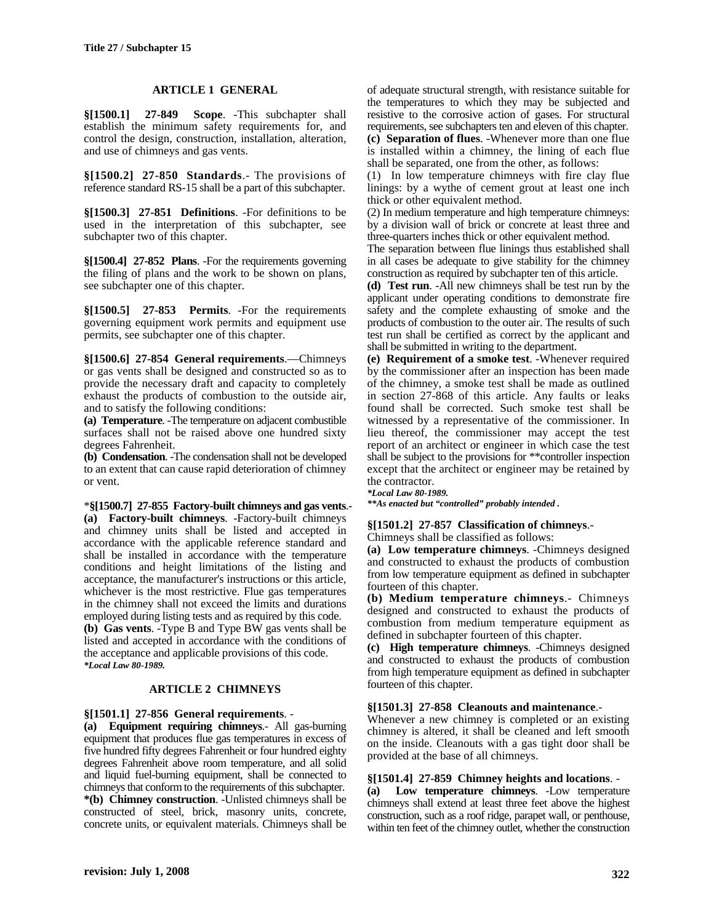### **ARTICLE 1 GENERAL**

**§[1500.1] 27-849 Scope**. -This subchapter shall establish the minimum safety requirements for, and control the design, construction, installation, alteration, and use of chimneys and gas vents.

**§[1500.2] 27-850 Standards**.- The provisions of reference standard RS-15 shall be a part of this subchapter.

**§[1500.3] 27-851 Definitions**. -For definitions to be used in the interpretation of this subchapter, see subchapter two of this chapter.

**§[1500.4] 27-852 Plans**. -For the requirements governing the filing of plans and the work to be shown on plans, see subchapter one of this chapter.

**§[1500.5] 27-853 Permits**. -For the requirements governing equipment work permits and equipment use permits, see subchapter one of this chapter.

**§[1500.6] 27-854 General requirements**.—Chimneys or gas vents shall be designed and constructed so as to provide the necessary draft and capacity to completely exhaust the products of combustion to the outside air, and to satisfy the following conditions:

**(a) Temperature**. -The temperature on adjacent combustible surfaces shall not be raised above one hundred sixty degrees Fahrenheit.

**(b) Condensation**. -The condensation shall not be developed to an extent that can cause rapid deterioration of chimney or vent.

\***§[1500.7] 27-855 Factory-built chimneys and gas vents**.- **(a) Factory-built chimneys**. -Factory-built chimneys and chimney units shall be listed and accepted in accordance with the applicable reference standard and shall be installed in accordance with the temperature conditions and height limitations of the listing and acceptance, the manufacturer's instructions or this article, whichever is the most restrictive. Flue gas temperatures in the chimney shall not exceed the limits and durations employed during listing tests and as required by this code. **(b) Gas vents**. -Type B and Type BW gas vents shall be listed and accepted in accordance with the conditions of the acceptance and applicable provisions of this code. *\*Local Law 80-1989.*

### **ARTICLE 2 CHIMNEYS**

#### **§[1501.1] 27-856 General requirements**. -

**(a) Equipment requiring chimneys**.- All gas-burning equipment that produces flue gas temperatures in excess of five hundred fifty degrees Fahrenheit or four hundred eighty degrees Fahrenheit above room temperature, and all solid and liquid fuel-burning equipment, shall be connected to chimneys that conform to the requirements of this subchapter. **\*(b) Chimney construction**. -Unlisted chimneys shall be constructed of steel, brick, masonry units, concrete, concrete units, or equivalent materials. Chimneys shall be

of adequate structural strength, with resistance suitable for the temperatures to which they may be subjected and resistive to the corrosive action of gases. For structural requirements, see subchapters ten and eleven of this chapter. **(c) Separation of flues**. -Whenever more than one flue is installed within a chimney, the lining of each flue shall be separated, one from the other, as follows:

(1) In low temperature chimneys with fire clay flue linings: by a wythe of cement grout at least one inch thick or other equivalent method.

(2) In medium temperature and high temperature chimneys: by a division wall of brick or concrete at least three and three-quarters inches thick or other equivalent method.

The separation between flue linings thus established shall in all cases be adequate to give stability for the chimney construction as required by subchapter ten of this article.

**(d) Test run**. -All new chimneys shall be test run by the applicant under operating conditions to demonstrate fire safety and the complete exhausting of smoke and the products of combustion to the outer air. The results of such test run shall be certified as correct by the applicant and shall be submitted in writing to the department.

**(e) Requirement of a smoke test**. -Whenever required by the commissioner after an inspection has been made of the chimney, a smoke test shall be made as outlined in section 27-868 of this article. Any faults or leaks found shall be corrected. Such smoke test shall be witnessed by a representative of the commissioner. In lieu thereof, the commissioner may accept the test report of an architect or engineer in which case the test shall be subject to the provisions for \*\*controller inspection except that the architect or engineer may be retained by the contractor.

#### *\*Local Law 80-1989.*

*\*\*As enacted but "controlled" probably intended .*

#### **§[1501.2] 27-857 Classification of chimneys**.-

Chimneys shall be classified as follows:

**(a) Low temperature chimneys**. -Chimneys designed and constructed to exhaust the products of combustion from low temperature equipment as defined in subchapter fourteen of this chapter.

**(b) Medium temperature chimneys**.- Chimneys designed and constructed to exhaust the products of combustion from medium temperature equipment as defined in subchapter fourteen of this chapter.

**(c) High temperature chimneys**. -Chimneys designed and constructed to exhaust the products of combustion from high temperature equipment as defined in subchapter fourteen of this chapter.

#### **§[1501.3] 27-858 Cleanouts and maintenance**.-

Whenever a new chimney is completed or an existing chimney is altered, it shall be cleaned and left smooth on the inside. Cleanouts with a gas tight door shall be provided at the base of all chimneys.

#### **§[1501.4] 27-859 Chimney heights and locations**. -

**(a) Low temperature chimneys**. -Low temperature chimneys shall extend at least three feet above the highest construction, such as a roof ridge, parapet wall, or penthouse, within ten feet of the chimney outlet, whether the construction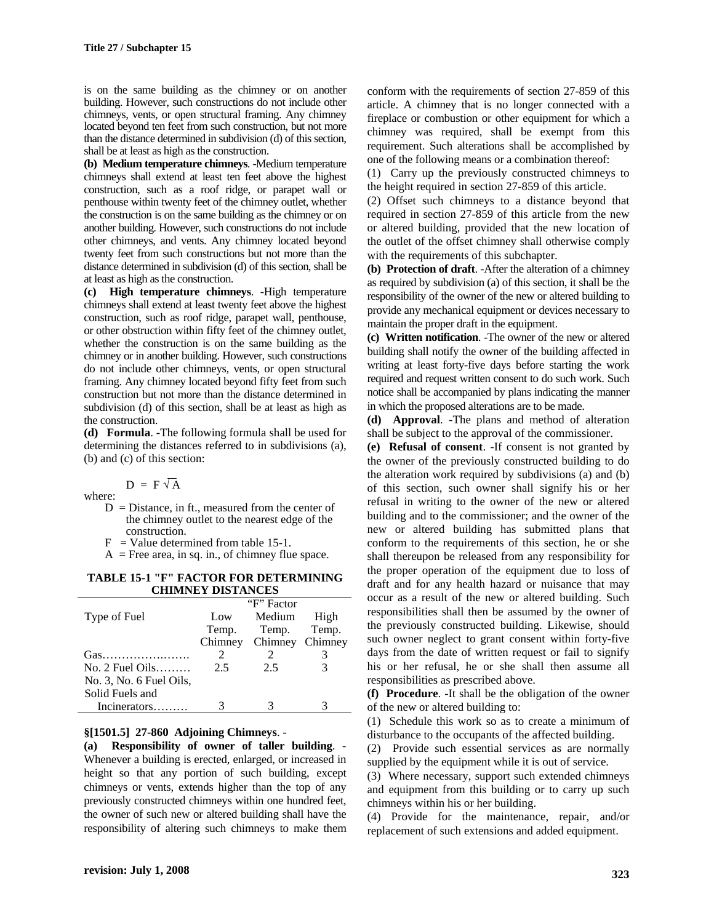is on the same building as the chimney or on another building. However, such constructions do not include other chimneys, vents, or open structural framing. Any chimney located beyond ten feet from such construction, but not more than the distance determined in subdivision (d) of this section, shall be at least as high as the construction.

**(b) Medium temperature chimneys**. -Medium temperature chimneys shall extend at least ten feet above the highest construction, such as a roof ridge, or parapet wall or penthouse within twenty feet of the chimney outlet, whether the construction is on the same building as the chimney or on another building. However, such constructions do not include other chimneys, and vents. Any chimney located beyond twenty feet from such constructions but not more than the distance determined in subdivision (d) of this section, shall be at least as high as the construction.

**(c) High temperature chimneys**. -High temperature chimneys shall extend at least twenty feet above the highest construction, such as roof ridge, parapet wall, penthouse, or other obstruction within fifty feet of the chimney outlet, whether the construction is on the same building as the chimney or in another building. However, such constructions do not include other chimneys, vents, or open structural framing. Any chimney located beyond fifty feet from such construction but not more than the distance determined in subdivision (d) of this section, shall be at least as high as the construction.

**(d) Formula**. -The following formula shall be used for determining the distances referred to in subdivisions (a), (b) and (c) of this section:

 $D = F\sqrt{A}$ where:

- $D = Distance$ , in ft., measured from the center of the chimney outlet to the nearest edge of the construction.
- $F =$  Value determined from table 15-1.
- $A =$  Free area, in sq. in., of chimney flue space.

**TABLE 15-1 "F" FACTOR FOR DETERMINING CHIMNEY DISTANCES**

|                         | "F" Factor"                 |                         |       |  |  |  |  |
|-------------------------|-----------------------------|-------------------------|-------|--|--|--|--|
| Type of Fuel            | Low                         | Medium High             |       |  |  |  |  |
|                         |                             | Temp. Temp.             | Temp. |  |  |  |  |
|                         |                             | Chimney Chimney Chimney |       |  |  |  |  |
|                         | $\mathcal{D}_{\mathcal{L}}$ |                         |       |  |  |  |  |
| $No. 2$ Fuel Oils       | 2.5                         | 2.5                     |       |  |  |  |  |
| No. 3, No. 6 Fuel Oils, |                             |                         |       |  |  |  |  |
| Solid Fuels and         |                             |                         |       |  |  |  |  |
| Incinerators            |                             |                         |       |  |  |  |  |

#### **§[1501.5] 27-860 Adjoining Chimneys**. -

**(a) Responsibility of owner of taller building**. - Whenever a building is erected, enlarged, or increased in height so that any portion of such building, except chimneys or vents, extends higher than the top of any previously constructed chimneys within one hundred feet, the owner of such new or altered building shall have the responsibility of altering such chimneys to make them

conform with the requirements of section 27-859 of this article. A chimney that is no longer connected with a fireplace or combustion or other equipment for which a chimney was required, shall be exempt from this requirement. Such alterations shall be accomplished by one of the following means or a combination thereof:

(1) Carry up the previously constructed chimneys to the height required in section 27-859 of this article.

(2) Offset such chimneys to a distance beyond that required in section 27-859 of this article from the new or altered building, provided that the new location of the outlet of the offset chimney shall otherwise comply with the requirements of this subchapter.

**(b) Protection of draft**. -After the alteration of a chimney as required by subdivision (a) of this section, it shall be the responsibility of the owner of the new or altered building to provide any mechanical equipment or devices necessary to maintain the proper draft in the equipment.

**(c) Written notification**. -The owner of the new or altered building shall notify the owner of the building affected in writing at least forty-five days before starting the work required and request written consent to do such work. Such notice shall be accompanied by plans indicating the manner in which the proposed alterations are to be made.

**(d) Approval**. -The plans and method of alteration shall be subject to the approval of the commissioner.

**(e) Refusal of consent**. -If consent is not granted by the owner of the previously constructed building to do the alteration work required by subdivisions (a) and (b) of this section, such owner shall signify his or her refusal in writing to the owner of the new or altered building and to the commissioner; and the owner of the new or altered building has submitted plans that conform to the requirements of this section, he or she shall thereupon be released from any responsibility for the proper operation of the equipment due to loss of draft and for any health hazard or nuisance that may occur as a result of the new or altered building. Such responsibilities shall then be assumed by the owner of the previously constructed building. Likewise, should such owner neglect to grant consent within forty-five days from the date of written request or fail to signify his or her refusal, he or she shall then assume all responsibilities as prescribed above.

**(f) Procedure**. -It shall be the obligation of the owner of the new or altered building to:

(1) Schedule this work so as to create a minimum of disturbance to the occupants of the affected building.

(2) Provide such essential services as are normally supplied by the equipment while it is out of service.

(3) Where necessary, support such extended chimneys and equipment from this building or to carry up such chimneys within his or her building.

(4) Provide for the maintenance, repair, and/or replacement of such extensions and added equipment.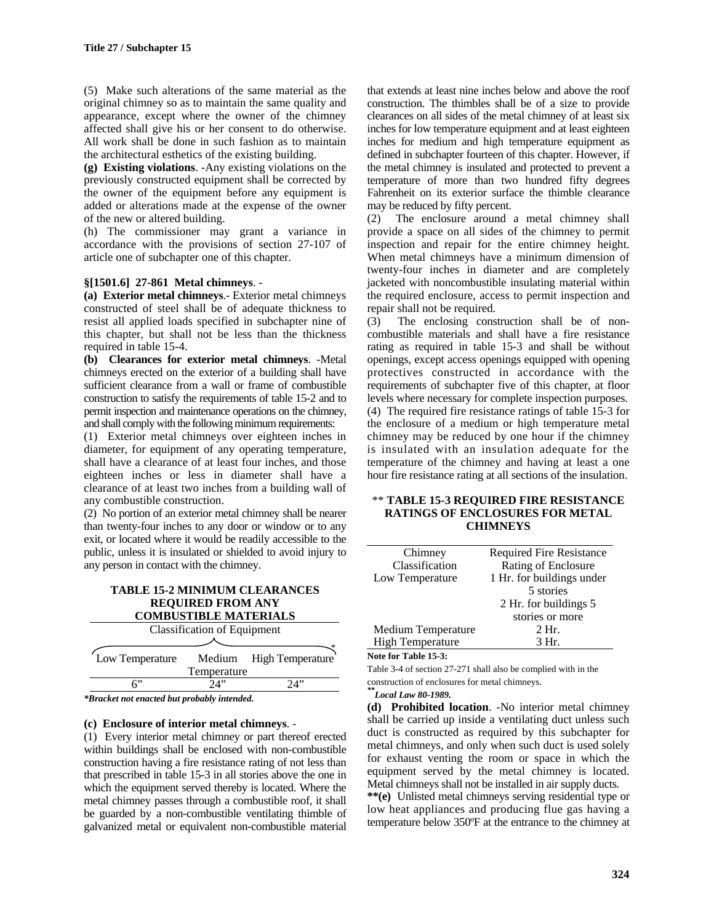(5) Make such alterations of the same material as the original chimney so as to maintain the same quality and appearance, except where the owner of the chimney affected shall give his or her consent to do otherwise. All work shall be done in such fashion as to maintain the architectural esthetics of the existing building.

**(g) Existing violations**. -Any existing violations on the previously constructed equipment shall be corrected by the owner of the equipment before any equipment is added or alterations made at the expense of the owner of the new or altered building.

(h) The commissioner may grant a variance in accordance with the provisions of section 27-107 of article one of subchapter one of this chapter.

#### **§[1501.6] 27-861 Metal chimneys**. -

**(a) Exterior metal chimneys**.- Exterior metal chimneys constructed of steel shall be of adequate thickness to resist all applied loads specified in subchapter nine of this chapter, but shall not be less than the thickness required in table 15-4.

**(b) Clearances for exterior metal chimneys**. -Metal chimneys erected on the exterior of a building shall have sufficient clearance from a wall or frame of combustible construction to satisfy the requirements of table 15-2 and to permit inspection and maintenance operations on the chimney, and shall comply with the following minimum requirements:

(1) Exterior metal chimneys over eighteen inches in diameter, for equipment of any operating temperature, shall have a clearance of at least four inches, and those eighteen inches or less in diameter shall have a clearance of at least two inches from a building wall of any combustible construction.

(2) No portion of an exterior metal chimney shall be nearer than twenty-four inches to any door or window or to any exit, or located where it would be readily accessible to the public, unless it is insulated or shielded to avoid injury to any person in contact with the chimney.

| <b>TABLE 15-2 MINIMUM CLEARANCES</b> |
|--------------------------------------|
| <b>REQUIRED FROM ANY</b>             |

| <b>COMBUSTIBLE MATERIALS</b>       |       |                         |  |  |  |  |  |  |
|------------------------------------|-------|-------------------------|--|--|--|--|--|--|
| <b>Classification of Equipment</b> |       |                         |  |  |  |  |  |  |
|                                    |       |                         |  |  |  |  |  |  |
| Low Temperature                    |       | Medium High Temperature |  |  |  |  |  |  |
| Temperature                        |       |                         |  |  |  |  |  |  |
|                                    | יי 1. |                         |  |  |  |  |  |  |
|                                    |       |                         |  |  |  |  |  |  |

*\*Bracket not enacted but probably intended.*

## **(c) Enclosure of interior metal chimneys**. -

(1) Every interior metal chimney or part thereof erected within buildings shall be enclosed with non-combustible construction having a fire resistance rating of not less than that prescribed in table 15-3 in all stories above the one in which the equipment served thereby is located. Where the metal chimney passes through a combustible roof, it shall be guarded by a non-combustible ventilating thimble of galvanized metal or equivalent non-combustible material

that extends at least nine inches below and above the roof construction. The thimbles shall be of a size to provide clearances on all sides of the metal chimney of at least six inches for low temperature equipment and at least eighteen inches for medium and high temperature equipment as defined in subchapter fourteen of this chapter. However, if the metal chimney is insulated and protected to prevent a temperature of more than two hundred fifty degrees Fahrenheit on its exterior surface the thimble clearance may be reduced by fifty percent.

(2) The enclosure around a metal chimney shall provide a space on all sides of the chimney to permit inspection and repair for the entire chimney height. When metal chimneys have a minimum dimension of twenty-four inches in diameter and are completely jacketed with noncombustible insulating material within the required enclosure, access to permit inspection and repair shall not be required.

(3) The enclosing construction shall be of noncombustible materials and shall have a fire resistance rating as required in table 15-3 and shall be without openings, except access openings equipped with opening protectives constructed in accordance with the requirements of subchapter five of this chapter, at floor levels where necessary for complete inspection purposes. (4) The required fire resistance ratings of table 15-3 for the enclosure of a medium or high temperature metal chimney may be reduced by one hour if the chimney is insulated with an insulation adequate for the temperature of the chimney and having at least a one hour fire resistance rating at all sections of the insulation.

#### \*\* **TABLE 15-3 REQUIRED FIRE RESISTANCE RATINGS OF ENCLOSURES FOR METAL CHIMNEYS**

| Chimney                 | <b>Required Fire Resistance</b> |
|-------------------------|---------------------------------|
| Classification          | Rating of Enclosure             |
| Low Temperature         | 1 Hr. for buildings under       |
|                         | 5 stories                       |
|                         | 2 Hr. for buildings 5           |
|                         | stories or more                 |
| Medium Temperature      | 2 Hr.                           |
| <b>High Temperature</b> | 3 Hr.                           |

#### **Note for Table 15-3:**

Table 3-4 of section 27-271 shall also be complied with in the construction of enclosures for metal chimneys.

*\*\*Local Law 80-1989.*

**(d) Prohibited location**. -No interior metal chimney shall be carried up inside a ventilating duct unless such duct is constructed as required by this subchapter for metal chimneys, and only when such duct is used solely for exhaust venting the room or space in which the equipment served by the metal chimney is located. Metal chimneys shall not be installed in air supply ducts.

**\*\*(e)** Unlisted metal chimneys serving residential type or low heat appliances and producing flue gas having a temperature below 350ºF at the entrance to the chimney at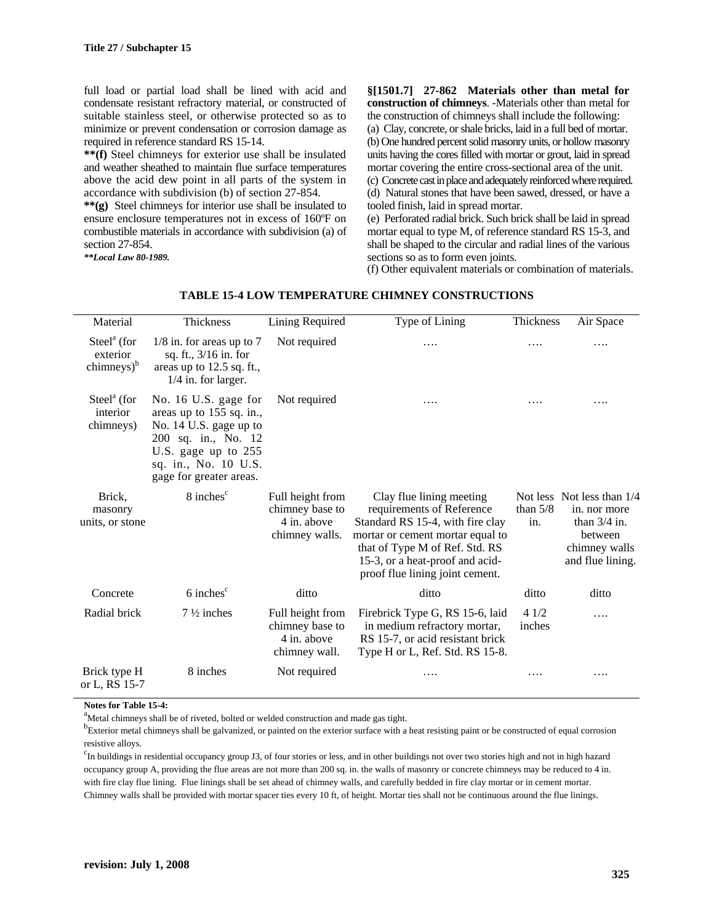full load or partial load shall be lined with acid and condensate resistant refractory material, or constructed of suitable stainless steel, or otherwise protected so as to minimize or prevent condensation or corrosion damage as required in reference standard RS 15-14.

**\*\*(f)** Steel chimneys for exterior use shall be insulated and weather sheathed to maintain flue surface temperatures above the acid dew point in all parts of the system in accordance with subdivision (b) of section 27-854.

**\*\*(g)** Steel chimneys for interior use shall be insulated to ensure enclosure temperatures not in excess of 160ºF on combustible materials in accordance with subdivision (a) of section 27-854.

*\*\*Local Law 80-1989.*

**§[1501.7] 27-862 Materials other than metal for construction of chimneys**. -Materials other than metal for the construction of chimneys shall include the following: (a) Clay, concrete, or shale bricks, laid in a full bed of mortar.

(b) One hundred percent solid masonry units, or hollow masonry units having the cores filled with mortar or grout, laid in spread mortar covering the entire cross-sectional area of the unit. (c) Concrete cast in place and adequately reinforced where required. (d) Natural stones that have been sawed, dressed, or have a

tooled finish, laid in spread mortar. (e) Perforated radial brick. Such brick shall be laid in spread mortar equal to type M, of reference standard RS 15-3, and shall be shaped to the circular and radial lines of the various sections so as to form even joints.

(f) Other equivalent materials or combination of materials.

| Material                                                             | Thickness                                                                                                                                                                   | Lining Required                                                      | Type of Lining                                                                                                                                                                                                                        | Thickness         | Air Space                                                                                                    |
|----------------------------------------------------------------------|-----------------------------------------------------------------------------------------------------------------------------------------------------------------------------|----------------------------------------------------------------------|---------------------------------------------------------------------------------------------------------------------------------------------------------------------------------------------------------------------------------------|-------------------|--------------------------------------------------------------------------------------------------------------|
| $\text{Steel}^{\text{a}}$ (for<br>exterior<br>chimneys) <sup>b</sup> | $1/8$ in. for areas up to 7<br>sq. ft., 3/16 in. for<br>areas up to 12.5 sq. ft.,<br>$1/4$ in. for larger.                                                                  | Not required                                                         | .                                                                                                                                                                                                                                     | .                 | .                                                                                                            |
| $Steela$ (for<br>interior<br>chimneys)                               | No. 16 U.S. gage for<br>areas up to 155 sq. in.,<br>No. 14 U.S. gage up to<br>200 sq. in., No. 12<br>U.S. gage up to 255<br>sq. in., No. 10 U.S.<br>gage for greater areas. | Not required                                                         | .                                                                                                                                                                                                                                     |                   | .                                                                                                            |
| Brick,<br>masonry<br>units, or stone                                 | 8 inches <sup>c</sup>                                                                                                                                                       | Full height from<br>chimney base to<br>4 in. above<br>chimney walls. | Clay flue lining meeting<br>requirements of Reference<br>Standard RS 15-4, with fire clay<br>mortar or cement mortar equal to<br>that of Type M of Ref. Std. RS<br>15-3, or a heat-proof and acid-<br>proof flue lining joint cement. | than $5/8$<br>in. | Not less Not less than 1/4<br>in. nor more<br>than $3/4$ in.<br>between<br>chimney walls<br>and flue lining. |
| Concrete                                                             | $6$ inches $\degree$                                                                                                                                                        | ditto                                                                | ditto                                                                                                                                                                                                                                 | ditto             | ditto                                                                                                        |
| Radial brick                                                         | $7\frac{1}{2}$ inches                                                                                                                                                       | Full height from<br>chimney base to<br>4 in. above<br>chimney wall.  | Firebrick Type G, RS 15-6, laid<br>in medium refractory mortar,<br>RS 15-7, or acid resistant brick<br>Type H or L, Ref. Std. RS 15-8.                                                                                                | 41/2<br>inches    | .                                                                                                            |
| Brick type H<br>or L, RS 15-7                                        | 8 inches                                                                                                                                                                    | Not required                                                         | .                                                                                                                                                                                                                                     | .                 | .                                                                                                            |

# **TABLE 15-4 LOW TEMPERATURE CHIMNEY CONSTRUCTIONS**

**Notes for Table 15-4:**

<sup>a</sup>Metal chimneys shall be of riveted, bolted or welded construction and made gas tight.

 $^{b}$ Exterior metal chimneys shall be galvanized, or painted on the exterior surface with a heat resisting paint or be constructed of equal corrosion resistive alloys.

<sup>c</sup>In buildings in residential occupancy group J3, of four stories or less, and in other buildings not over two stories high and not in high hazard occupancy group A, providing the flue areas are not more than 200 sq. in. the walls of masonry or concrete chimneys may be reduced to 4 in. with fire clay flue lining. Flue linings shall be set ahead of chimney walls, and carefully bedded in fire clay mortar or in cement mortar. Chimney walls shall be provided with mortar spacer ties every 10 ft, of height. Mortar ties shall not be continuous around the flue linings.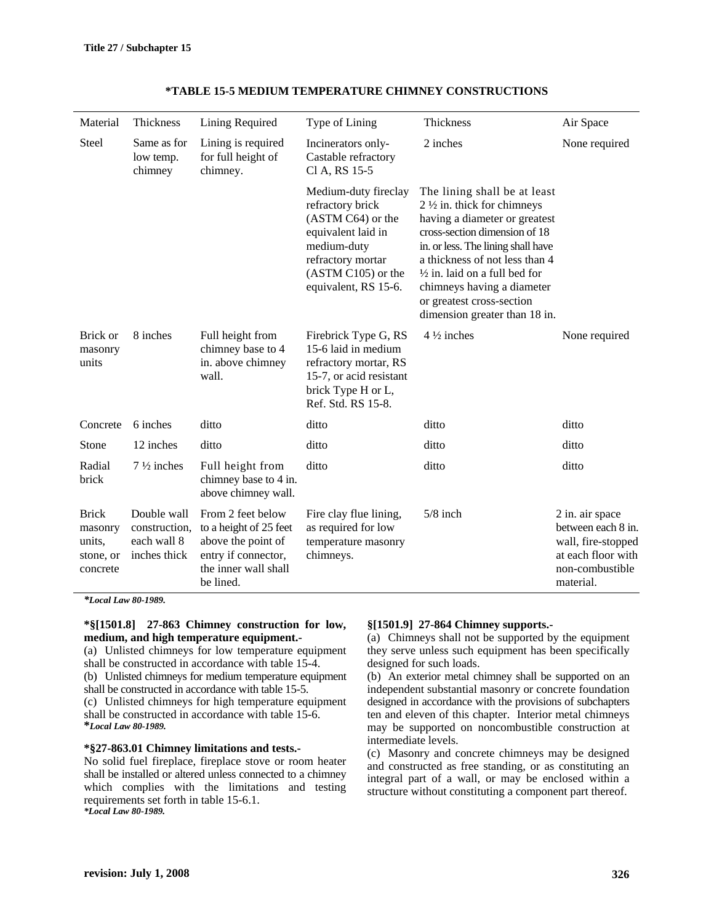| Material                                                   | Thickness                                                   | Lining Required                                                                                                               | Type of Lining                                                                                                                                                          | Thickness                                                                                                                                                                                                                                                                                                                                               | Air Space                                                                                                         |
|------------------------------------------------------------|-------------------------------------------------------------|-------------------------------------------------------------------------------------------------------------------------------|-------------------------------------------------------------------------------------------------------------------------------------------------------------------------|---------------------------------------------------------------------------------------------------------------------------------------------------------------------------------------------------------------------------------------------------------------------------------------------------------------------------------------------------------|-------------------------------------------------------------------------------------------------------------------|
| <b>Steel</b>                                               | Same as for<br>low temp.<br>chimney                         | Lining is required<br>for full height of<br>chimney.                                                                          | Incinerators only-<br>Castable refractory<br>Cl A, RS 15-5                                                                                                              | 2 inches                                                                                                                                                                                                                                                                                                                                                | None required                                                                                                     |
|                                                            |                                                             |                                                                                                                               | Medium-duty fireclay<br>refractory brick<br>(ASTM C64) or the<br>equivalent laid in<br>medium-duty<br>refractory mortar<br>$(ASTM C105)$ or the<br>equivalent, RS 15-6. | The lining shall be at least<br>$2\frac{1}{2}$ in. thick for chimneys<br>having a diameter or greatest<br>cross-section dimension of 18<br>in. or less. The lining shall have<br>a thickness of not less than 4<br>$\frac{1}{2}$ in. laid on a full bed for<br>chimneys having a diameter<br>or greatest cross-section<br>dimension greater than 18 in. |                                                                                                                   |
| Brick or<br>masonry<br>units                               | 8 inches                                                    | Full height from<br>chimney base to 4<br>in. above chimney<br>wall.                                                           | Firebrick Type G, RS<br>15-6 laid in medium<br>refractory mortar, RS<br>15-7, or acid resistant<br>brick Type H or L,<br>Ref. Std. RS 15-8.                             | $4\frac{1}{2}$ inches                                                                                                                                                                                                                                                                                                                                   | None required                                                                                                     |
| Concrete                                                   | 6 inches                                                    | ditto                                                                                                                         | ditto                                                                                                                                                                   | ditto                                                                                                                                                                                                                                                                                                                                                   | ditto                                                                                                             |
| Stone                                                      | 12 inches                                                   | ditto                                                                                                                         | ditto                                                                                                                                                                   | ditto                                                                                                                                                                                                                                                                                                                                                   | ditto                                                                                                             |
| Radial<br>brick                                            | $7\frac{1}{2}$ inches                                       | Full height from<br>chimney base to 4 in.<br>above chimney wall.                                                              | ditto                                                                                                                                                                   | ditto                                                                                                                                                                                                                                                                                                                                                   | ditto                                                                                                             |
| <b>Brick</b><br>masonry<br>units,<br>stone, or<br>concrete | Double wall<br>construction,<br>each wall 8<br>inches thick | From 2 feet below<br>to a height of 25 feet<br>above the point of<br>entry if connector,<br>the inner wall shall<br>be lined. | Fire clay flue lining,<br>as required for low<br>temperature masonry<br>chimneys.                                                                                       | $5/8$ inch                                                                                                                                                                                                                                                                                                                                              | 2 in. air space<br>between each 8 in.<br>wall, fire-stopped<br>at each floor with<br>non-combustible<br>material. |

# **\*TABLE 15-5 MEDIUM TEMPERATURE CHIMNEY CONSTRUCTIONS**

*\*Local Law 80-1989.*

### **\*§[1501.8] 27-863 Chimney construction for low, medium, and high temperature equipment.-**

(a) Unlisted chimneys for low temperature equipment shall be constructed in accordance with table 15-4. (b) Unlisted chimneys for medium temperature equipment

shall be constructed in accordance with table 15-5.

(c) Unlisted chimneys for high temperature equipment shall be constructed in accordance with table 15-6. **\****Local Law 80-1989.*

#### **\*§27-863.01 Chimney limitations and tests.-**

No solid fuel fireplace, fireplace stove or room heater shall be installed or altered unless connected to a chimney which complies with the limitations and testing requirements set forth in table 15-6.1. *\*Local Law 80-1989.*

### **§[1501.9] 27-864 Chimney supports.-**

(a) Chimneys shall not be supported by the equipment they serve unless such equipment has been specifically designed for such loads.

(b) An exterior metal chimney shall be supported on an independent substantial masonry or concrete foundation designed in accordance with the provisions of subchapters ten and eleven of this chapter. Interior metal chimneys may be supported on noncombustible construction at intermediate levels.

(c) Masonry and concrete chimneys may be designed and constructed as free standing, or as constituting an integral part of a wall, or may be enclosed within a structure without constituting a component part thereof.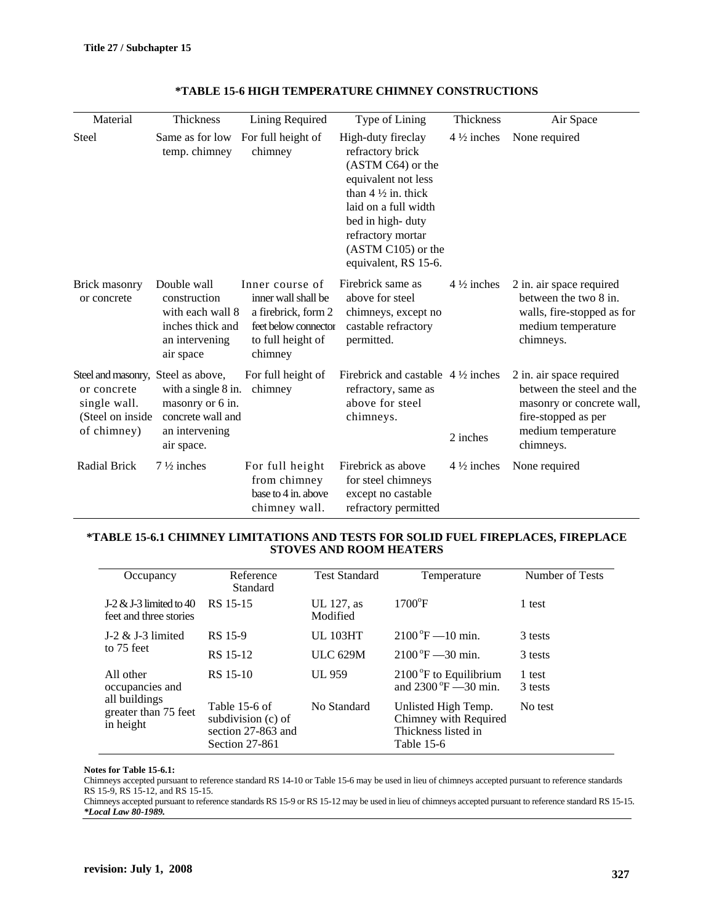| Material                                                                                              | Thickness                                                                                          | Lining Required                                                                                                       | Type of Lining                                                                                                                                                                                                                     | Thickness             |                                                                                                                                              |
|-------------------------------------------------------------------------------------------------------|----------------------------------------------------------------------------------------------------|-----------------------------------------------------------------------------------------------------------------------|------------------------------------------------------------------------------------------------------------------------------------------------------------------------------------------------------------------------------------|-----------------------|----------------------------------------------------------------------------------------------------------------------------------------------|
|                                                                                                       |                                                                                                    |                                                                                                                       |                                                                                                                                                                                                                                    |                       | Air Space                                                                                                                                    |
| <b>Steel</b>                                                                                          | Same as for low<br>temp. chimney                                                                   | For full height of<br>chimney                                                                                         | High-duty fireclay<br>refractory brick<br>(ASTM C64) or the<br>equivalent not less<br>than $4\frac{1}{2}$ in. thick<br>laid on a full width<br>bed in high-duty<br>refractory mortar<br>(ASTM C105) or the<br>equivalent, RS 15-6. | $4\frac{1}{2}$ inches | None required                                                                                                                                |
| Brick masonry<br>or concrete                                                                          | Double wall<br>construction<br>with each wall 8<br>inches thick and<br>an intervening<br>air space | Inner course of<br>inner wall shall be<br>a firebrick, form 2<br>feet below connector<br>to full height of<br>chimney | Firebrick same as<br>above for steel<br>chimneys, except no<br>castable refractory<br>permitted.                                                                                                                                   | $4\frac{1}{2}$ inches | 2 in. air space required<br>between the two 8 in.<br>walls, fire-stopped as for<br>medium temperature<br>chimneys.                           |
| Steel and masonry, Steel as above,<br>or concrete<br>single wall.<br>(Steel on inside)<br>of chimney) | with a single 8 in.<br>masonry or 6 in.<br>concrete wall and<br>an intervening<br>air space.       | For full height of<br>chimney                                                                                         | Firebrick and castable $4\frac{1}{2}$ inches<br>refractory, same as<br>above for steel<br>chimneys.                                                                                                                                | 2 inches              | 2 in. air space required<br>between the steel and the<br>masonry or concrete wall,<br>fire-stopped as per<br>medium temperature<br>chimneys. |
| <b>Radial Brick</b>                                                                                   | $7\frac{1}{2}$ inches                                                                              | For full height<br>from chimney<br>base to 4 in. above<br>chimney wall.                                               | Firebrick as above<br>for steel chimneys<br>except no castable<br>refractory permitted                                                                                                                                             | $4\frac{1}{2}$ inches | None required                                                                                                                                |

# **\*TABLE 15-6 HIGH TEMPERATURE CHIMNEY CONSTRUCTIONS**

#### **\*TABLE 15-6.1 CHIMNEY LIMITATIONS AND TESTS FOR SOLID FUEL FIREPLACES, FIREPLACE STOVES AND ROOM HEATERS**

| Occupancy                                           | Reference<br><b>Standard</b>                                                | <b>Test Standard</b>   | Temperature                                                                       | Number of Tests   |
|-----------------------------------------------------|-----------------------------------------------------------------------------|------------------------|-----------------------------------------------------------------------------------|-------------------|
| J-2 $&$ J-3 limited to 40<br>feet and three stories | RS 15-15                                                                    | UL 127, as<br>Modified | $1700$ <sup>o</sup> F                                                             | 1 test            |
| J-2 $&$ J-3 limited<br>to 75 feet                   | RS 15-9                                                                     | <b>UL 103HT</b>        | $2100^{\circ}F - 10$ min.                                                         | 3 tests           |
|                                                     | RS 15-12                                                                    | <b>ULC 629M</b>        | $2100\text{°F} - 30 \text{ min}$ .                                                | 3 tests           |
| All other<br>occupancies and                        | RS 15-10                                                                    | UL 959                 | $2100^{\circ}$ F to Equilibrium<br>and $2300^{\circ}F = 30$ min.                  | 1 test<br>3 tests |
| all buildings<br>greater than 75 feet<br>in height  | Table 15-6 of<br>subdivision (c) of<br>section 27-863 and<br>Section 27-861 | No Standard            | Unlisted High Temp.<br>Chimney with Required<br>Thickness listed in<br>Table 15-6 | No test           |

# **Notes for Table 15-6.1:**

Chimneys accepted pursuant to reference standard RS 14-10 or Table 15-6 may be used in lieu of chimneys accepted pursuant to reference standards RS 15-9, RS 15-12, and RS 15-15.

Chimneys accepted pursuant to reference standards RS 15-9 or RS 15-12 may be used in lieu of chimneys accepted pursuant to reference standard RS 15-15. *\*Local Law 80-1989.*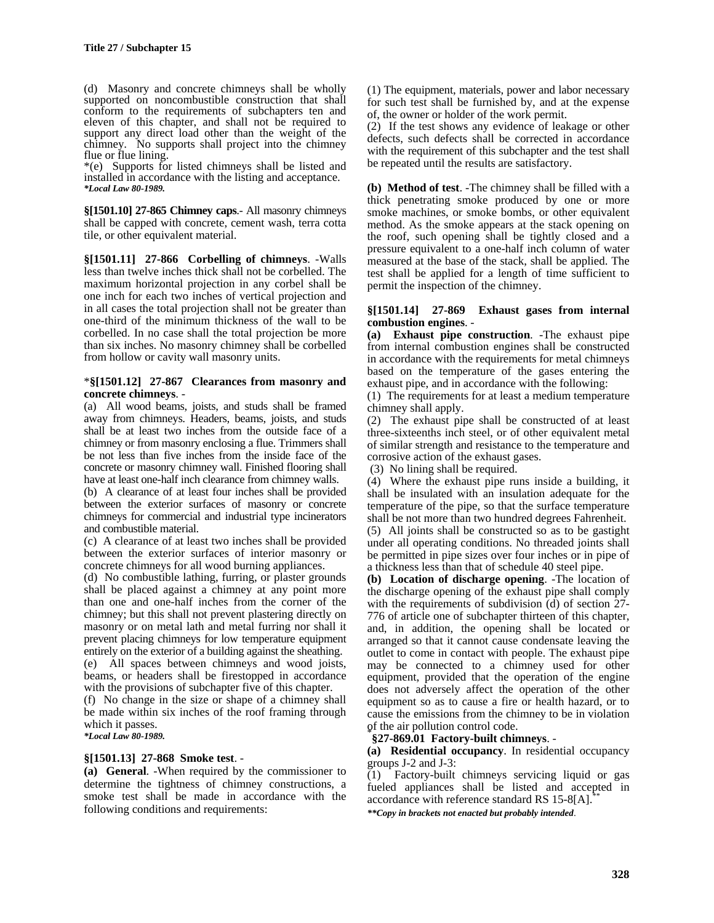(d) Masonry and concrete chimneys shall be wholly supported on noncombustible construction that shall conform to the requirements of subchapters ten and eleven of this chapter, and shall not be required to support any direct load other than the weight of the chimney. No supports shall project into the chimney flue or flue lining.

\*(e) Supports for listed chimneys shall be listed and installed in accordance with the listing and acceptance. *\*Local Law 80-1989.*

**§[1501.10] 27-865 Chimney caps**.- All masonry chimneys shall be capped with concrete, cement wash, terra cotta tile, or other equivalent material.

**§[1501.11] 27-866 Corbelling of chimneys**. -Walls less than twelve inches thick shall not be corbelled. The maximum horizontal projection in any corbel shall be one inch for each two inches of vertical projection and in all cases the total projection shall not be greater than one-third of the minimum thickness of the wall to be corbelled. In no case shall the total projection be more than six inches. No masonry chimney shall be corbelled from hollow or cavity wall masonry units.

#### \***§[1501.12] 27-867 Clearances from masonry and concrete chimneys**. -

(a) All wood beams, joists, and studs shall be framed away from chimneys. Headers, beams, joists, and studs shall be at least two inches from the outside face of a chimney or from masonry enclosing a flue. Trimmers shall be not less than five inches from the inside face of the concrete or masonry chimney wall. Finished flooring shall have at least one-half inch clearance from chimney walls.

(b) A clearance of at least four inches shall be provided between the exterior surfaces of masonry or concrete chimneys for commercial and industrial type incinerators and combustible material.

(c) A clearance of at least two inches shall be provided between the exterior surfaces of interior masonry or concrete chimneys for all wood burning appliances.

(d) No combustible lathing, furring, or plaster grounds shall be placed against a chimney at any point more than one and one-half inches from the corner of the chimney; but this shall not prevent plastering directly on masonry or on metal lath and metal furring nor shall it prevent placing chimneys for low temperature equipment entirely on the exterior of a building against the sheathing.

(e) All spaces between chimneys and wood joists, beams, or headers shall be firestopped in accordance with the provisions of subchapter five of this chapter.

(f) No change in the size or shape of a chimney shall be made within six inches of the roof framing through which it passes.

*\*Local Law 80-1989.*

### **§[1501.13] 27-868 Smoke test**. -

**(a) General**. -When required by the commissioner to determine the tightness of chimney constructions, a smoke test shall be made in accordance with the following conditions and requirements:

(1) The equipment, materials, power and labor necessary for such test shall be furnished by, and at the expense of, the owner or holder of the work permit.

(2) If the test shows any evidence of leakage or other defects, such defects shall be corrected in accordance with the requirement of this subchapter and the test shall be repeated until the results are satisfactory.

**(b) Method of test**. -The chimney shall be filled with a thick penetrating smoke produced by one or more smoke machines, or smoke bombs, or other equivalent method. As the smoke appears at the stack opening on the roof, such opening shall be tightly closed and a pressure equivalent to a one-half inch column of water measured at the base of the stack, shall be applied. The test shall be applied for a length of time sufficient to permit the inspection of the chimney.

#### **§[1501.14] 27-869 Exhaust gases from internal combustion engines**. -

**(a) Exhaust pipe construction**. -The exhaust pipe from internal combustion engines shall be constructed in accordance with the requirements for metal chimneys based on the temperature of the gases entering the exhaust pipe, and in accordance with the following:

(1) The requirements for at least a medium temperature chimney shall apply.

(2) The exhaust pipe shall be constructed of at least three-sixteenths inch steel, or of other equivalent metal of similar strength and resistance to the temperature and corrosive action of the exhaust gases.

(3) No lining shall be required.

(4) Where the exhaust pipe runs inside a building, it shall be insulated with an insulation adequate for the temperature of the pipe, so that the surface temperature shall be not more than two hundred degrees Fahrenheit.

(5) All joints shall be constructed so as to be gastight under all operating conditions. No threaded joints shall be permitted in pipe sizes over four inches or in pipe of a thickness less than that of schedule 40 steel pipe.

**(b) Location of discharge opening**. -The location of the discharge opening of the exhaust pipe shall comply with the requirements of subdivision (d) of section 27-776 of article one of subchapter thirteen of this chapter, and, in addition, the opening shall be located or arranged so that it cannot cause condensate leaving the outlet to come in contact with people. The exhaust pipe may be connected to a chimney used for other equipment, provided that the operation of the engine does not adversely affect the operation of the other equipment so as to cause a fire or health hazard, or to cause the emissions from the chimney to be in violation of the air pollution control code. \*

#### **§27-869.01 Factory-built chimneys**. -

**(a) Residential occupancy**. In residential occupancy groups J-2 and J-3:

(1) Factory-built chimneys servicing liquid or gas fueled appliances shall be listed and accepted in accordance with reference standard RS  $15-8[A]$ .

*\*\*Copy in brackets not enacted but probably intended*.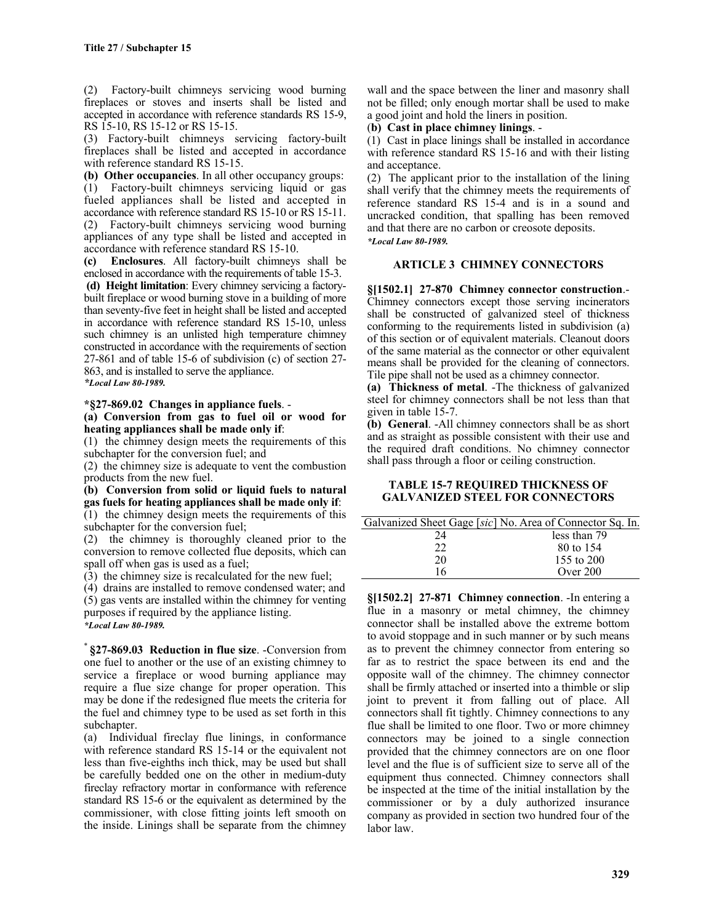(2) Factory-built chimneys servicing wood burning fireplaces or stoves and inserts shall be listed and accepted in accordance with reference standards RS 15-9, RS 15-10, RS 15-12 or RS 15-15.

(3) Factory-built chimneys servicing factory-built fireplaces shall be listed and accepted in accordance with reference standard RS 15-15.

**(b) Other occupancies**. In all other occupancy groups: (1) Factory-built chimneys servicing liquid or gas fueled appliances shall be listed and accepted in accordance with reference standard RS 15-10 or RS 15-11. (2) Factory-built chimneys servicing wood burning appliances of any type shall be listed and accepted in accordance with reference standard RS 15-10.

**(c) Enclosures**. All factory-built chimneys shall be enclosed in accordance with the requirements of table 15-3.

**(d) Height limitation**: Every chimney servicing a factorybuilt fireplace or wood burning stove in a building of more than seventy-five feet in height shall be listed and accepted in accordance with reference standard RS 15-10, unless such chimney is an unlisted high temperature chimney constructed in accordance with the requirements of section 27-861 and of table 15-6 of subdivision (c) of section 27- 863, and is installed to serve the appliance.

*\*Local Law 80-1989.*

#### **\*§27-869.02 Changes in appliance fuels**. - **(a) Conversion from gas to fuel oil or wood for heating appliances shall be made only if**:

(1) the chimney design meets the requirements of this subchapter for the conversion fuel; and

(2) the chimney size is adequate to vent the combustion products from the new fuel.

**(b) Conversion from solid or liquid fuels to natural gas fuels for heating appliances shall be made only if**:

(1) the chimney design meets the requirements of this subchapter for the conversion fuel;

(2) the chimney is thoroughly cleaned prior to the conversion to remove collected flue deposits, which can spall off when gas is used as a fuel;

(3) the chimney size is recalculated for the new fuel;

(4) drains are installed to remove condensed water; and (5) gas vents are installed within the chimney for venting purposes if required by the appliance listing.

*\*Local Law 80-1989.*

\* **§27-869.03 Reduction in flue size**. -Conversion from one fuel to another or the use of an existing chimney to service a fireplace or wood burning appliance may require a flue size change for proper operation. This may be done if the redesigned flue meets the criteria for the fuel and chimney type to be used as set forth in this subchapter.

(a) Individual fireclay flue linings, in conformance with reference standard RS 15-14 or the equivalent not less than five-eighths inch thick, may be used but shall be carefully bedded one on the other in medium-duty fireclay refractory mortar in conformance with reference standard RS 15-6 or the equivalent as determined by the commissioner, with close fitting joints left smooth on the inside. Linings shall be separate from the chimney

wall and the space between the liner and masonry shall not be filled; only enough mortar shall be used to make a good joint and hold the liners in position.

#### (**b) Cast in place chimney linings**. -

(1) Cast in place linings shall be installed in accordance with reference standard RS 15-16 and with their listing and acceptance.

(2) The applicant prior to the installation of the lining shall verify that the chimney meets the requirements of reference standard RS 15-4 and is in a sound and uncracked condition, that spalling has been removed and that there are no carbon or creosote deposits. *\*Local Law 80-1989.*

#### **ARTICLE 3 CHIMNEY CONNECTORS**

**§[1502.1] 27-870 Chimney connector construction**.- Chimney connectors except those serving incinerators shall be constructed of galvanized steel of thickness conforming to the requirements listed in subdivision (a) of this section or of equivalent materials. Cleanout doors of the same material as the connector or other equivalent means shall be provided for the cleaning of connectors. Tile pipe shall not be used as a chimney connector.

**(a) Thickness of metal**. -The thickness of galvanized steel for chimney connectors shall be not less than that given in table 15-7.

**(b) General**. -All chimney connectors shall be as short and as straight as possible consistent with their use and the required draft conditions. No chimney connector shall pass through a floor or ceiling construction.

#### **TABLE 15-7 REQUIRED THICKNESS OF GALVANIZED STEEL FOR CONNECTORS**

| Galvanized Sheet Gage [sic] No. Area of Connector Sq. In. |              |
|-----------------------------------------------------------|--------------|
| 24                                                        | less than 79 |
| 22                                                        | 80 to 154    |
| 20                                                        | 155 to 200   |
| 16                                                        | Over 200     |

**§[1502.2] 27-871 Chimney connection**. -In entering a flue in a masonry or metal chimney, the chimney connector shall be installed above the extreme bottom to avoid stoppage and in such manner or by such means as to prevent the chimney connector from entering so far as to restrict the space between its end and the opposite wall of the chimney. The chimney connector shall be firmly attached or inserted into a thimble or slip joint to prevent it from falling out of place. All connectors shall fit tightly. Chimney connections to any flue shall be limited to one floor. Two or more chimney connectors may be joined to a single connection provided that the chimney connectors are on one floor level and the flue is of sufficient size to serve all of the equipment thus connected. Chimney connectors shall be inspected at the time of the initial installation by the commissioner or by a duly authorized insurance company as provided in section two hundred four of the labor law.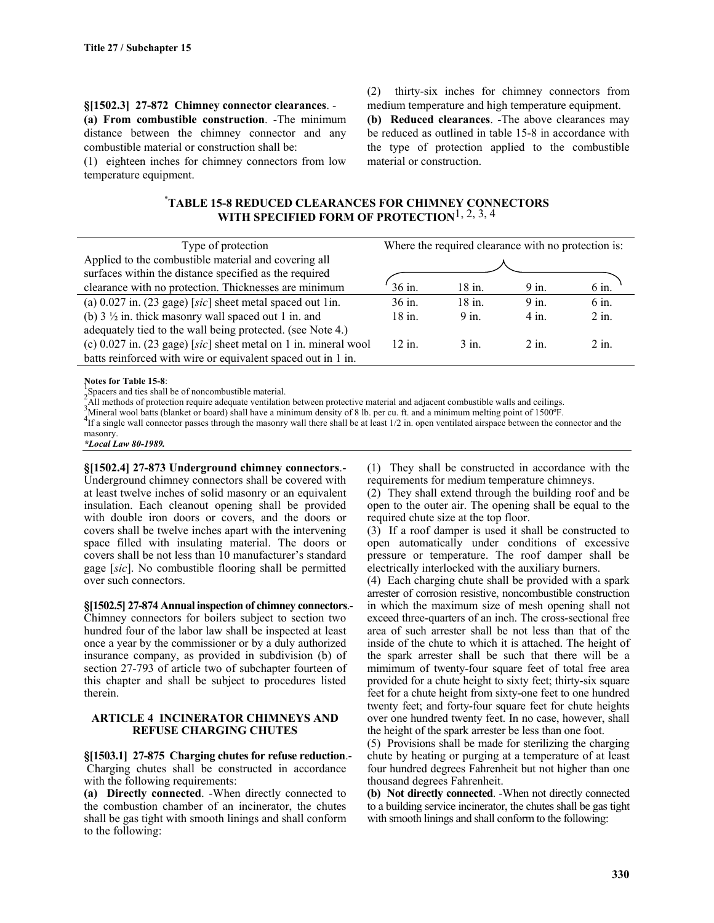**§[1502.3] 27-872 Chimney connector clearances**. - **(a) From combustible construction**. -The minimum distance between the chimney connector and any combustible material or construction shall be:

(1) eighteen inches for chimney connectors from low temperature equipment.

(2) thirty-six inches for chimney connectors from medium temperature and high temperature equipment.

**(b) Reduced clearances**. -The above clearances may be reduced as outlined in table 15-8 in accordance with the type of protection applied to the combustible material or construction.

# \* **TABLE 15-8 REDUCED CLEARANCES FOR CHIMNEY CONNECTORS WITH SPECIFIED FORM OF PROTECTION**1, 2, 3, 4

| Type of protection                                                |          | Where the required clearance with no protection is: |         |         |
|-------------------------------------------------------------------|----------|-----------------------------------------------------|---------|---------|
| Applied to the combustible material and covering all              |          |                                                     |         |         |
| surfaces within the distance specified as the required            |          |                                                     |         |         |
| clearance with no protection. Thicknesses are minimum             | 36 in.   | $18$ in.                                            | $9$ in. | 6 in.   |
| (a) $0.027$ in. (23 gage) [sic] sheet metal spaced out 1in.       | $36$ in. | $18$ in.                                            | $9$ in. | $6$ in. |
| (b) $3\frac{1}{2}$ in. thick masonry wall spaced out 1 in. and    | $18$ in. | $9$ in.                                             | $4$ in  | $2$ in. |
| adequately tied to the wall being protected. (see Note 4.)        |          |                                                     |         |         |
| (c) $0.027$ in. (23 gage) [sic] sheet metal on 1 in. mineral wool | $12$ in. | $3$ in                                              | $2$ in  | $2$ in  |
| batts reinforced with wire or equivalent spaced out in 1 in.      |          |                                                     |         |         |

**Notes for Table 15-8:**<br><sup>2</sup> Spacers and ties shall be of noncombustible material.<br><sup>2</sup> All methods of protection require adequate ventilation between protective material and adjacent combustible walls and ceilings.<br><sup>3</sup> All

A lineral wool batts (blanket or board) shall have a minimum density of 8 lb. per cu. ft. and a minimum melting point of 1500°F.<br>The a single wall connector passes through the masonry wall there shall be at least 1/2 in. masonry.

*\*Local Law 80-1989.*

**§[1502.4] 27-873 Underground chimney connectors**.- Underground chimney connectors shall be covered with at least twelve inches of solid masonry or an equivalent insulation. Each cleanout opening shall be provided with double iron doors or covers, and the doors or covers shall be twelve inches apart with the intervening space filled with insulating material. The doors or covers shall be not less than 10 manufacturer's standard gage [*sic*]. No combustible flooring shall be permitted over such connectors.

**§[1502.5] 27-874 Annual inspection of chimney connectors**.-

Chimney connectors for boilers subject to section two hundred four of the labor law shall be inspected at least once a year by the commissioner or by a duly authorized insurance company, as provided in subdivision (b) of section 27-793 of article two of subchapter fourteen of this chapter and shall be subject to procedures listed therein.

#### **ARTICLE 4 INCINERATOR CHIMNEYS AND REFUSE CHARGING CHUTES**

**§[1503.1] 27-875 Charging chutes for refuse reduction**.- Charging chutes shall be constructed in accordance with the following requirements:

**(a) Directly connected**. -When directly connected to the combustion chamber of an incinerator, the chutes shall be gas tight with smooth linings and shall conform to the following:

(1) They shall be constructed in accordance with the requirements for medium temperature chimneys.

(2) They shall extend through the building roof and be open to the outer air. The opening shall be equal to the required chute size at the top floor.

(3) If a roof damper is used it shall be constructed to open automatically under conditions of excessive pressure or temperature. The roof damper shall be electrically interlocked with the auxiliary burners.

(4) Each charging chute shall be provided with a spark arrester of corrosion resistive, noncombustible construction in which the maximum size of mesh opening shall not exceed three-quarters of an inch. The cross-sectional free area of such arrester shall be not less than that of the inside of the chute to which it is attached. The height of the spark arrester shall be such that there will be a mimimum of twenty-four square feet of total free area provided for a chute height to sixty feet; thirty-six square feet for a chute height from sixty-one feet to one hundred twenty feet; and forty-four square feet for chute heights over one hundred twenty feet. In no case, however, shall the height of the spark arrester be less than one foot.

(5) Provisions shall be made for sterilizing the charging chute by heating or purging at a temperature of at least four hundred degrees Fahrenheit but not higher than one thousand degrees Fahrenheit.

**(b) Not directly connected**. -When not directly connected to a building service incinerator, the chutes shall be gas tight with smooth linings and shall conform to the following: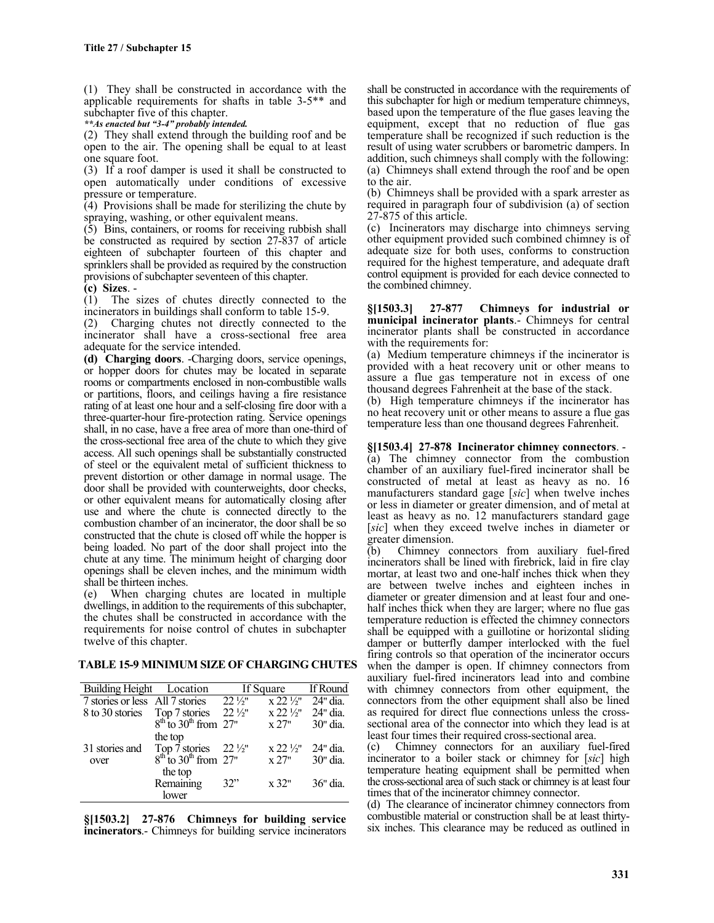(1) They shall be constructed in accordance with the applicable requirements for shafts in table 3-5\*\* and subchapter five of this chapter.

*\*\*As enacted but "3-4" probably intended.*

(2) They shall extend through the building roof and be open to the air. The opening shall be equal to at least one square foot.

(3) If a roof damper is used it shall be constructed to open automatically under conditions of excessive pressure or temperature.

(4) Provisions shall be made for sterilizing the chute by spraying, washing, or other equivalent means.

(5) Bins, containers, or rooms for receiving rubbish shall be constructed as required by section 27-837 of article eighteen of subchapter fourteen of this chapter and sprinklers shall be provided as required by the construction provisions of subchapter seventeen of this chapter.

**(c) Sizes**. -

(1) The sizes of chutes directly connected to the incinerators in buildings shall conform to table 15-9.

(2) Charging chutes not directly connected to the incinerator shall have a cross-sectional free area adequate for the service intended.

**(d) Charging doors**. -Charging doors, service openings, or hopper doors for chutes may be located in separate rooms or compartments enclosed in non-combustible walls or partitions, floors, and ceilings having a fire resistance rating of at least one hour and a self-closing fire door with a three-quarter-hour fire-protection rating. Service openings shall, in no case, have a free area of more than one-third of the cross-sectional free area of the chute to which they give access. All such openings shall be substantially constructed of steel or the equivalent metal of sufficient thickness to prevent distortion or other damage in normal usage. The door shall be provided with counterweights, door checks, or other equivalent means for automatically closing after use and where the chute is connected directly to the combustion chamber of an incinerator, the door shall be so constructed that the chute is closed off while the hopper is being loaded. No part of the door shall project into the chute at any time. The minimum height of charging door openings shall be eleven inches, and the minimum width shall be thirteen inches.

(e) When charging chutes are located in multiple dwellings, in addition to the requirements of this subchapter, the chutes shall be constructed in accordance with the requirements for noise control of chutes in subchapter twelve of this chapter.

#### **TABLE 15-9 MINIMUM SIZE OF CHARGING CHUTES**

| Building Height Location                          |                                                                                 | If Square         |                    | <b>If Round</b> |
|---------------------------------------------------|---------------------------------------------------------------------------------|-------------------|--------------------|-----------------|
| 7 stories or less All 7 stories $22\frac{1}{2}$ " |                                                                                 |                   | $x 22\frac{1}{2}$  | $24"$ dia       |
| 8 to 30 stories                                   |                                                                                 | $22\frac{1}{2}$ " | $x 22 \frac{1}{2}$ | 24" dia.        |
|                                                   | Top 7 stories $22\frac{1}{8}$<br>8 <sup>th</sup> to 30 <sup>th</sup> from 27"   |                   | x 27"              | 30" dia.        |
|                                                   | the top                                                                         |                   |                    |                 |
| 31 stories and                                    | Top 7 stories $22\frac{1}{2}$ "<br>8 <sup>th</sup> to 30 <sup>th</sup> from 27" |                   | $x 22 \frac{1}{2}$ | 24" dia         |
| over                                              |                                                                                 |                   | x 27"              | 30" dia.        |
|                                                   | the top                                                                         |                   |                    |                 |
|                                                   | Remaining                                                                       | 32"               | x 32"              | $36"$ dia       |
|                                                   | lower                                                                           |                   |                    |                 |

**§[1503.2] 27-876 Chimneys for building service incinerators**.- Chimneys for building service incinerators shall be constructed in accordance with the requirements of this subchapter for high or medium temperature chimneys, based upon the temperature of the flue gases leaving the equipment, except that no reduction of flue gas temperature shall be recognized if such reduction is the result of using water scrubbers or barometric dampers. In addition, such chimneys shall comply with the following: (a) Chimneys shall extend through the roof and be open to the air.

(b) Chimneys shall be provided with a spark arrester as required in paragraph four of subdivision (a) of section 27-875 of this article.

(c) Incinerators may discharge into chimneys serving other equipment provided such combined chimney is of adequate size for both uses, conforms to construction required for the highest temperature, and adequate draft control equipment is provided for each device connected to the combined chimney.

**§[1503.3] 27-877 Chimneys for industrial or municipal incinerator plants**.- Chimneys for central incinerator plants shall be constructed in accordance with the requirements for:

(a) Medium temperature chimneys if the incinerator is provided with a heat recovery unit or other means to assure a flue gas temperature not in excess of one thousand degrees Fahrenheit at the base of the stack.

(b) High temperature chimneys if the incinerator has no heat recovery unit or other means to assure a flue gas temperature less than one thousand degrees Fahrenheit.

# **§[1503.4] 27-878 Incinerator chimney connectors**. - (a) The chimney connector from the combustion

chamber of an auxiliary fuel-fired incinerator shall be constructed of metal at least as heavy as no. 16 manufacturers standard gage [*sic*] when twelve inches or less in diameter or greater dimension, and of metal at least as heavy as no. 12 manufacturers standard gage [*sic*] when they exceed twelve inches in diameter or greater dimension.

(b) Chimney connectors from auxiliary fuel-fired incinerators shall be lined with firebrick, laid in fire clay mortar, at least two and one-half inches thick when they are between twelve inches and eighteen inches in diameter or greater dimension and at least four and onehalf inches thick when they are larger; where no flue gas temperature reduction is effected the chimney connectors shall be equipped with a guillotine or horizontal sliding damper or butterfly damper interlocked with the fuel firing controls so that operation of the incinerator occurs when the damper is open. If chimney connectors from auxiliary fuel-fired incinerators lead into and combine with chimney connectors from other equipment, the connectors from the other equipment shall also be lined as required for direct flue connections unless the crosssectional area of the connector into which they lead is at least four times their required cross-sectional area.

(c) Chimney connectors for an auxiliary fuel-fired incinerator to a boiler stack or chimney for [*sic*] high temperature heating equipment shall be permitted when the cross-sectional area of such stack or chimney is at least four times that of the incinerator chimney connector.

(d) The clearance of incinerator chimney connectors from combustible material or construction shall be at least thirtysix inches. This clearance may be reduced as outlined in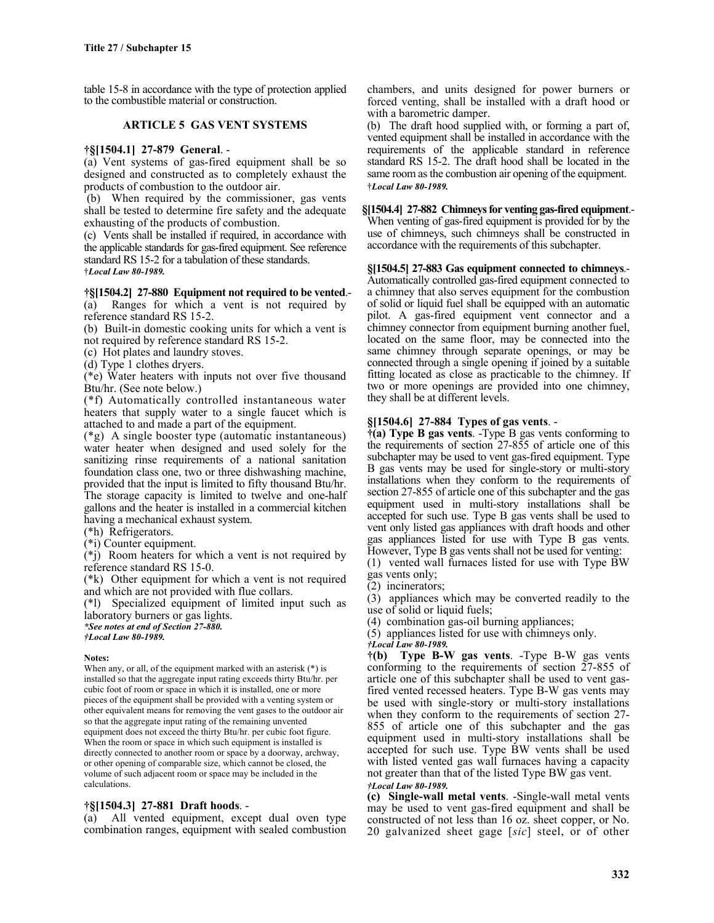table 15-8 in accordance with the type of protection applied to the combustible material or construction.

#### **ARTICLE 5 GAS VENT SYSTEMS**

#### **†§[1504.1] 27-879 General**. -

(a) Vent systems of gas-fired equipment shall be so designed and constructed as to completely exhaust the products of combustion to the outdoor air.

 (b) When required by the commissioner, gas vents shall be tested to determine fire safety and the adequate exhausting of the products of combustion.

(c) Vents shall be installed if required, in accordance with the applicable standards for gas-fired equipment. See reference standard RS 15-2 for a tabulation of these standards. †*Local Law 80-1989.*

### **†§[1504.2] 27-880 Equipment not required to be vented**.-

(a) Ranges for which a vent is not required by reference standard RS 15-2.

(b) Built-in domestic cooking units for which a vent is not required by reference standard RS 15-2.

(c) Hot plates and laundry stoves.

(d) Type 1 clothes dryers.

(\*e) Water heaters with inputs not over five thousand Btu/hr. (See note below.)

(\*f) Automatically controlled instantaneous water heaters that supply water to a single faucet which is attached to and made a part of the equipment.

(\*g) A single booster type (automatic instantaneous) water heater when designed and used solely for the sanitizing rinse requirements of a national sanitation foundation class one, two or three dishwashing machine, provided that the input is limited to fifty thousand Btu/hr. The storage capacity is limited to twelve and one-half gallons and the heater is installed in a commercial kitchen having a mechanical exhaust system.

(\*h) Refrigerators.

(\*i) Counter equipment.

(\*j) Room heaters for which a vent is not required by reference standard RS 15-0.

(\*k) Other equipment for which a vent is not required and which are not provided with flue collars.

(\*l) Specialized equipment of limited input such as laboratory burners or gas lights.

*\*See notes at end of Section 27-880.*

*†Local Law 80-1989.*

#### **Notes:**

When any, or all, of the equipment marked with an asterisk (\*) is installed so that the aggregate input rating exceeds thirty Btu/hr. per cubic foot of room or space in which it is installed, one or more pieces of the equipment shall be provided with a venting system or other equivalent means for removing the vent gases to the outdoor air so that the aggregate input rating of the remaining unvented equipment does not exceed the thirty Btu/hr. per cubic foot figure. When the room or space in which such equipment is installed is directly connected to another room or space by a doorway, archway, or other opening of comparable size, which cannot be closed, the volume of such adjacent room or space may be included in the calculations.

#### **†§[1504.3] 27-881 Draft hoods**. -

(a) All vented equipment, except dual oven type combination ranges, equipment with sealed combustion chambers, and units designed for power burners or forced venting, shall be installed with a draft hood or with a barometric damper.

(b) The draft hood supplied with, or forming a part of, vented equipment shall be installed in accordance with the requirements of the applicable standard in reference standard RS 15-2. The draft hood shall be located in the same room as the combustion air opening of the equipment. †*Local Law 80-1989.*

# **§[1504.4] 27-882 Chimneys for venting gas-fired equipment**.-

When venting of gas-fired equipment is provided for by the use of chimneys, such chimneys shall be constructed in accordance with the requirements of this subchapter.

**§[1504.5] 27-883 Gas equipment connected to chimneys**.- Automatically controlled gas-fired equipment connected to a chimney that also serves equipment for the combustion of solid or liquid fuel shall be equipped with an automatic pilot. A gas-fired equipment vent connector and a chimney connector from equipment burning another fuel, located on the same floor, may be connected into the same chimney through separate openings, or may be connected through a single opening if joined by a suitable fitting located as close as practicable to the chimney. If two or more openings are provided into one chimney, they shall be at different levels.

### **§[1504.6] 27-884 Types of gas vents**. -

**†(a) Type B gas vents**. -Type B gas vents conforming to the requirements of section 27-855 of article one of this subchapter may be used to vent gas-fired equipment. Type B gas vents may be used for single-story or multi-story installations when they conform to the requirements of section 27-855 of article one of this subchapter and the gas equipment used in multi-story installations shall be accepted for such use. Type B gas vents shall be used to vent only listed gas appliances with draft hoods and other gas appliances listed for use with Type B gas vents. However, Type B gas vents shall not be used for venting:

(1) vented wall furnaces listed for use with Type BW gas vents only;

(2) incinerators;

(3) appliances which may be converted readily to the use of solid or liquid fuels;

(4) combination gas-oil burning appliances;

(5) appliances listed for use with chimneys only.

*†Local Law 80-1989.*

**†(b) Type B-W gas vents**. -Type B-W gas vents conforming to the requirements of section 27-855 of article one of this subchapter shall be used to vent gasfired vented recessed heaters. Type B-W gas vents may be used with single-story or multi-story installations when they conform to the requirements of section 27- 855 of article one of this subchapter and the gas equipment used in multi-story installations shall be accepted for such use. Type BW vents shall be used with listed vented gas wall furnaces having a capacity not greater than that of the listed Type BW gas vent. *†Local Law 80-1989.*

**(c) Single-wall metal vents**. -Single-wall metal vents may be used to vent gas-fired equipment and shall be constructed of not less than 16 oz. sheet copper, or No. 20 galvanized sheet gage [*sic*] steel, or of other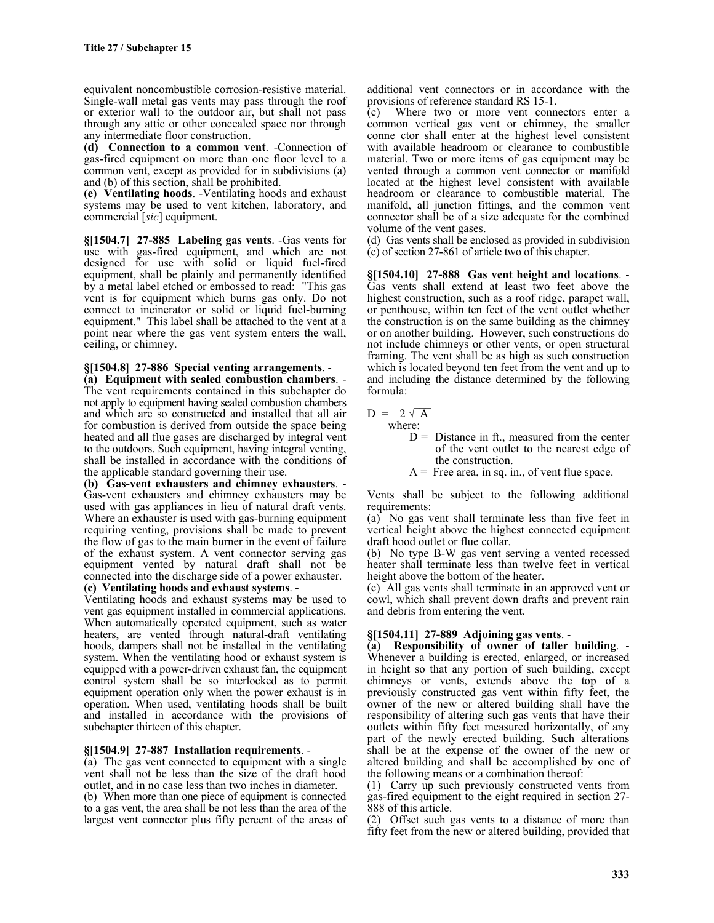equivalent noncombustible corrosion-resistive material. Single-wall metal gas vents may pass through the roof or exterior wall to the outdoor air, but shall not pass through any attic or other concealed space nor through any intermediate floor construction.

**(d) Connection to a common vent**. -Connection of gas-fired equipment on more than one floor level to a common vent, except as provided for in subdivisions (a) and (b) of this section, shall be prohibited.

**(e) Ventilating hoods**. -Ventilating hoods and exhaust systems may be used to vent kitchen, laboratory, and commercial [*sic*] equipment.

**§[1504.7] 27-885 Labeling gas vents**. -Gas vents for use with gas-fired equipment, and which are not designed for use with solid or liquid fuel-fired equipment, shall be plainly and permanently identified by a metal label etched or embossed to read: "This gas vent is for equipment which burns gas only. Do not connect to incinerator or solid or liquid fuel-burning equipment." This label shall be attached to the vent at a point near where the gas vent system enters the wall, ceiling, or chimney.

**§[1504.8] 27-886 Special venting arrangements**. - **(a) Equipment with sealed combustion chambers**. - The vent requirements contained in this subchapter do not apply to equipment having sealed combustion chambers and which are so constructed and installed that all air for combustion is derived from outside the space being heated and all flue gases are discharged by integral vent to the outdoors. Such equipment, having integral venting, shall be installed in accordance with the conditions of the applicable standard governing their use.

**(b) Gas-vent exhausters and chimney exhausters**. - Gas-vent exhausters and chimney exhausters may be used with gas appliances in lieu of natural draft vents. Where an exhauster is used with gas-burning equipment requiring venting, provisions shall be made to prevent the flow of gas to the main burner in the event of failure of the exhaust system. A vent connector serving gas equipment vented by natural draft shall not be connected into the discharge side of a power exhauster.

# **(c) Ventilating hoods and exhaust systems**. - Ventilating hoods and exhaust systems may be used to

vent gas equipment installed in commercial applications. When automatically operated equipment, such as water heaters, are vented through natural-draft ventilating hoods, dampers shall not be installed in the ventilating system. When the ventilating hood or exhaust system is equipped with a power-driven exhaust fan, the equipment control system shall be so interlocked as to permit equipment operation only when the power exhaust is in operation. When used, ventilating hoods shall be built and installed in accordance with the provisions of subchapter thirteen of this chapter.

**§[1504.9] 27-887 Installation requirements**. - (a) The gas vent connected to equipment with a single vent shall not be less than the size of the draft hood outlet, and in no case less than two inches in diameter.

(b) When more than one piece of equipment is connected to a gas vent, the area shall be not less than the area of the largest vent connector plus fifty percent of the areas of additional vent connectors or in accordance with the provisions of reference standard RS 15-1.

(c) Where two or more vent connectors enter a common vertical gas vent or chimney, the smaller conne ctor shall enter at the highest level consistent with available headroom or clearance to combustible material. Two or more items of gas equipment may be vented through a common vent connector or manifold located at the highest level consistent with available headroom or clearance to combustible material. The manifold, all junction fittings, and the common vent connector shall be of a size adequate for the combined volume of the vent gases.

(d) Gas vents shall be enclosed as provided in subdivision (c) of section 27-861 of article two of this chapter.

**§[1504.10] 27-888 Gas vent height and locations**. - Gas vents shall extend at least two feet above the highest construction, such as a roof ridge, parapet wall, or penthouse, within ten feet of the vent outlet whether the construction is on the same building as the chimney or on another building. However, such constructions do not include chimneys or other vents, or open structural framing. The vent shall be as high as such construction which is located beyond ten feet from the vent and up to and including the distance determined by the following formula:

 $D = 2\sqrt{A}$ where:

- $D =$  Distance in ft., measured from the center of the vent outlet to the nearest edge of the construction.
- $A =$  Free area, in sq. in., of vent flue space.

Vents shall be subject to the following additional requirements:

(a) No gas vent shall terminate less than five feet in vertical height above the highest connected equipment draft hood outlet or flue collar.

(b) No type B-W gas vent serving a vented recessed heater shall terminate less than twelve feet in vertical height above the bottom of the heater.

(c) All gas vents shall terminate in an approved vent or cowl, which shall prevent down drafts and prevent rain and debris from entering the vent.

**§[1504.11] 27-889 Adjoining gas vents**. - **(a) Responsibility of owner of taller building**. - Whenever a building is erected, enlarged, or increased in height so that any portion of such building, except chimneys or vents, extends above the top of a previously constructed gas vent within fifty feet, the owner of the new or altered building shall have the responsibility of altering such gas vents that have their outlets within fifty feet measured horizontally, of any part of the newly erected building. Such alterations shall be at the expense of the owner of the new or altered building and shall be accomplished by one of the following means or a combination thereof:

(1) Carry up such previously constructed vents from gas-fired equipment to the eight required in section 27- 888 of this article.

(2) Offset such gas vents to a distance of more than fifty feet from the new or altered building, provided that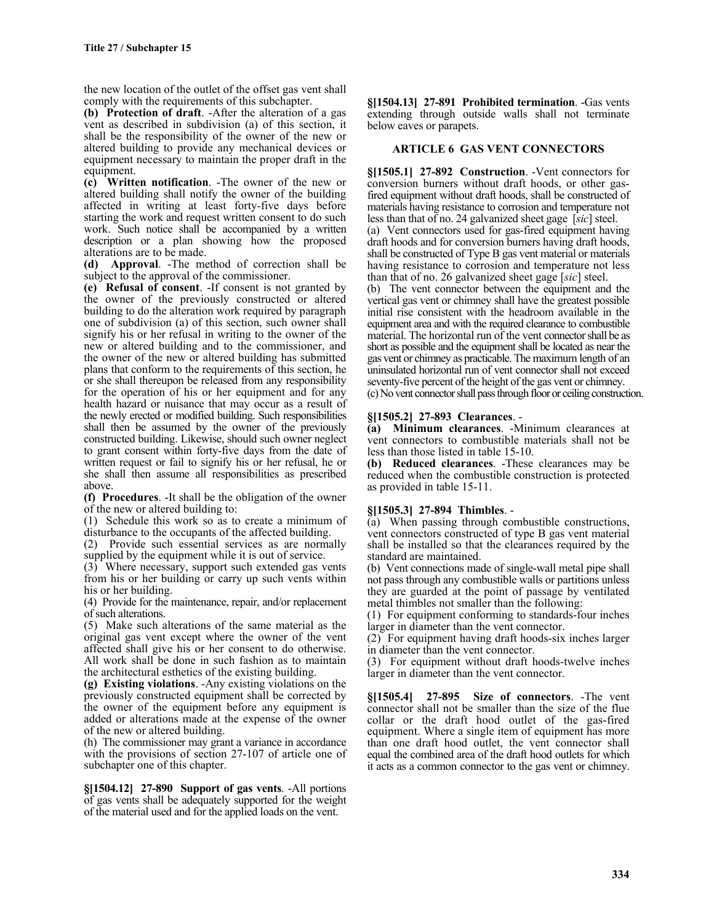the new location of the outlet of the offset gas vent shall comply with the requirements of this subchapter.

**(b) Protection of draft**. -After the alteration of a gas vent as described in subdivision (a) of this section, it shall be the responsibility of the owner of the new or altered building to provide any mechanical devices or equipment necessary to maintain the proper draft in the equipment.

**(c) Written notification**. -The owner of the new or altered building shall notify the owner of the building affected in writing at least forty-five days before starting the work and request written consent to do such work. Such notice shall be accompanied by a written description or a plan showing how the proposed alterations are to be made.

**(d) Approval**. -The method of correction shall be subject to the approval of the commissioner.

**(e) Refusal of consent**. -If consent is not granted by the owner of the previously constructed or altered building to do the alteration work required by paragraph one of subdivision (a) of this section, such owner shall signify his or her refusal in writing to the owner of the new or altered building and to the commissioner, and the owner of the new or altered building has submitted plans that conform to the requirements of this section, he or she shall thereupon be released from any responsibility for the operation of his or her equipment and for any health hazard or nuisance that may occur as a result of the newly erected or modified building. Such responsibilities shall then be assumed by the owner of the previously constructed building. Likewise, should such owner neglect to grant consent within forty-five days from the date of written request or fail to signify his or her refusal, he or she shall then assume all responsibilities as prescribed above.

**(f) Procedures**. -It shall be the obligation of the owner of the new or altered building to:

(1) Schedule this work so as to create a minimum of disturbance to the occupants of the affected building.

(2) Provide such essential services as are normally supplied by the equipment while it is out of service.

(3) Where necessary, support such extended gas vents from his or her building or carry up such vents within his or her building.

(4) Provide for the maintenance, repair, and/or replacement of such alterations.

(5) Make such alterations of the same material as the original gas vent except where the owner of the vent affected shall give his or her consent to do otherwise. All work shall be done in such fashion as to maintain the architectural esthetics of the existing building.

**(g) Existing violations**. -Any existing violations on the previously constructed equipment shall be corrected by the owner of the equipment before any equipment is added or alterations made at the expense of the owner of the new or altered building.

(h) The commissioner may grant a variance in accordance with the provisions of section 27-107 of article one of subchapter one of this chapter.

**§[1504.12] 27-890 Support of gas vents**. -All portions of gas vents shall be adequately supported for the weight of the material used and for the applied loads on the vent.

**§[1504.13] 27-891 Prohibited termination**. -Gas vents extending through outside walls shall not terminate below eaves or parapets.

#### **ARTICLE 6 GAS VENT CONNECTORS**

**§[1505.1] 27-892 Construction**. -Vent connectors for conversion burners without draft hoods, or other gasfired equipment without draft hoods, shall be constructed of materials having resistance to corrosion and temperature not less than that of no. 24 galvanized sheet gage [*sic*] steel. (a) Vent connectors used for gas-fired equipment having draft hoods and for conversion burners having draft hoods,

shall be constructed of Type B gas vent material or materials having resistance to corrosion and temperature not less than that of no. 26 galvanized sheet gage [*sic*] steel.

(b) The vent connector between the equipment and the vertical gas vent or chimney shall have the greatest possible initial rise consistent with the headroom available in the equipment area and with the required clearance to combustible material. The horizontal run of the vent connector shall be as short as possible and the equipment shall be located as near the gas vent or chimney as practicable. The maximum length of an uninsulated horizontal run of vent connector shall not exceed seventy-five percent of the height of the gas vent or chimney. (c) No vent connector shall pass through floor or ceiling construction.

#### **§[1505.2] 27-893 Clearances**. -

**(a) Minimum clearances**. -Minimum clearances at vent connectors to combustible materials shall not be less than those listed in table 15-10.

**(b) Reduced clearances**. -These clearances may be reduced when the combustible construction is protected as provided in table 15-11.

# **§[1505.3] 27-894 Thimbles**. -

(a) When passing through combustible constructions, vent connectors constructed of type B gas vent material shall be installed so that the clearances required by the standard are maintained.

(b) Vent connections made of single-wall metal pipe shall not pass through any combustible walls or partitions unless they are guarded at the point of passage by ventilated metal thimbles not smaller than the following:

(1) For equipment conforming to standards-four inches larger in diameter than the vent connector.

(2) For equipment having draft hoods-six inches larger in diameter than the vent connector.

(3) For equipment without draft hoods-twelve inches larger in diameter than the vent connector.

**§[1505.4] 27-895 Size of connectors**. -The vent connector shall not be smaller than the size of the flue collar or the draft hood outlet of the gas-fired equipment. Where a single item of equipment has more than one draft hood outlet, the vent connector shall equal the combined area of the draft hood outlets for which it acts as a common connector to the gas vent or chimney.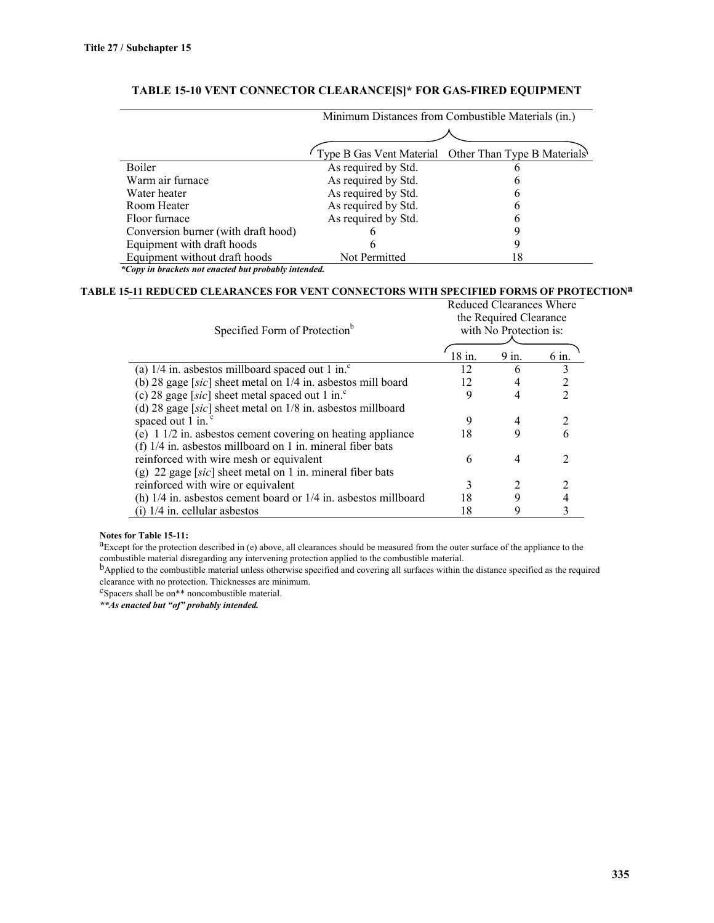|                                     | Minimum Distances from Combustible Materials (in.) |                                                      |  |  |
|-------------------------------------|----------------------------------------------------|------------------------------------------------------|--|--|
|                                     |                                                    |                                                      |  |  |
|                                     |                                                    | Type B Gas Vent Material Other Than Type B Materials |  |  |
| Boiler                              | As required by Std.                                | O                                                    |  |  |
| Warm air furnace                    | As required by Std.                                | O                                                    |  |  |
| Water heater                        | As required by Std.                                | O                                                    |  |  |
| Room Heater                         | As required by Std.                                | O                                                    |  |  |
| Floor furnace                       | As required by Std.                                | h                                                    |  |  |
| Conversion burner (with draft hood) |                                                    |                                                      |  |  |
| Equipment with draft hoods          |                                                    |                                                      |  |  |
| Equipment without draft hoods       | Not Permitted                                      | 18                                                   |  |  |

# **TABLE 15-10 VENT CONNECTOR CLEARANCE[S]\* FOR GAS-FIRED EQUIPMENT**

*\*Copy in brackets not enacted but probably intended.*

# **TABLE 15-11 REDUCED CLEARANCES FOR VENT CONNECTORS WITH SPECIFIED FORMS OF PROTECTIONa**

| Specified Form of Protection <sup>b</sup>                             | Reduced Clearances Where<br>the Required Clearance<br>with No Protection is: |       |                |
|-----------------------------------------------------------------------|------------------------------------------------------------------------------|-------|----------------|
|                                                                       | $18$ in.                                                                     | 9 in. | 6 in.          |
| (a) $1/4$ in. asbestos millboard spaced out 1 in. <sup>c</sup>        | 12                                                                           | 6     |                |
| (b) 28 gage [sic] sheet metal on $1/4$ in. asbestos mill board        | 12                                                                           | 4     | 2              |
| (c) 28 gage [sic] sheet metal spaced out 1 in. $\degree$              | 9                                                                            | 4     | $\mathfrak{D}$ |
| (d) 28 gage [sic] sheet metal on $1/8$ in. asbestos millboard         |                                                                              |       |                |
| spaced out 1 in. <sup>c</sup>                                         | 9                                                                            | 4     | 2              |
| (e) $1 \frac{1}{2}$ in. asbestos cement covering on heating appliance | 18                                                                           | 9     | 6              |
| (f) $1/4$ in. asbestos millboard on 1 in. mineral fiber bats          |                                                                              |       |                |
| reinforced with wire mesh or equivalent                               | 6                                                                            | 4     | 2              |
| (g) 22 gage [sic] sheet metal on 1 in. mineral fiber bats             |                                                                              |       |                |
| reinforced with wire or equivalent                                    | 3                                                                            |       |                |
| (h) $1/4$ in. asbestos cement board or $1/4$ in. asbestos millboard   | 18                                                                           | 9     |                |
| $(i)$ 1/4 in. cellular asbestos                                       | 18                                                                           | 9     |                |

#### **Notes for Table 15-11:**

<sup>a</sup>Except for the protection described in (e) above, all clearances should be measured from the outer surface of the appliance to the combustible material disregarding any intervening protection applied to the combustible material.<br><sup>b</sup>Applied to the combustible material unless otherwise specified and covering all surfaces within the distance specified as

clearance with no protection. Thicknesses are minimum.

cSpacers shall be on\*\* noncombustible material.

*\*\*As enacted but "of" probably intended.*